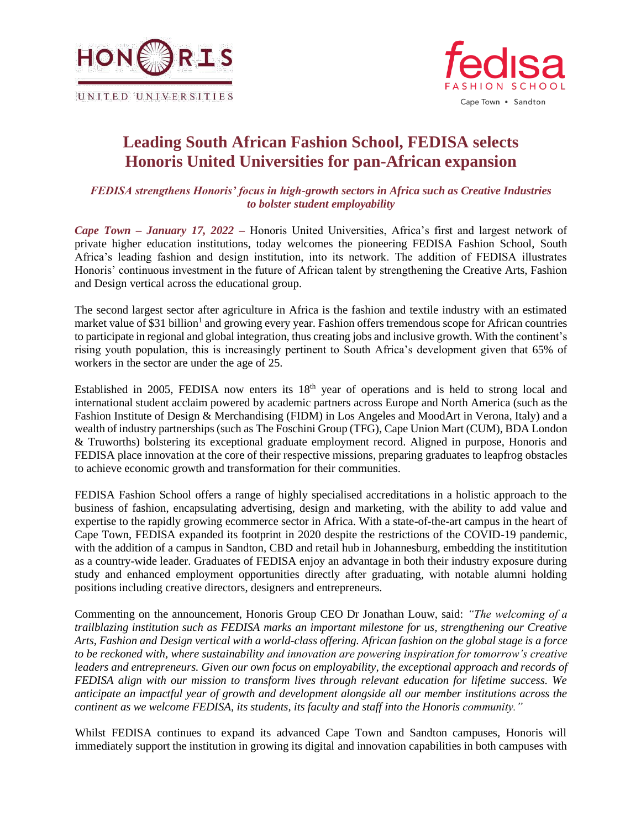



## **Leading South African Fashion School, FEDISA selects Honoris United Universities for pan-African expansion**

*FEDISA strengthens Honoris' focus in high-growth sectors in Africa such as Creative Industries to bolster student employability*

*Cape Town – January 17, 2022 –* Honoris United Universities, Africa's first and largest network of private higher education institutions, today welcomes the pioneering FEDISA Fashion School, South Africa's leading fashion and design institution, into its network. The addition of FEDISA illustrates Honoris' continuous investment in the future of African talent by strengthening the Creative Arts, Fashion and Design vertical across the educational group.

The second largest sector after agriculture in Africa is the fashion and textile industry with an estimated market value of \$31 billion<sup>1</sup> and growing every year. Fashion offers tremendous scope for African countries to participate in regional and global integration, thus creating jobs and inclusive growth. With the continent's rising youth population, this is increasingly pertinent to South Africa's development given that 65% of workers in the sector are under the age of 25.

Established in 2005, FEDISA now enters its 18<sup>th</sup> year of operations and is held to strong local and international student acclaim powered by academic partners across Europe and North America (such as the Fashion Institute of Design & Merchandising (FIDM) in Los Angeles and MoodArt in Verona, Italy) and a wealth of industry partnerships (such as The Foschini Group (TFG), Cape Union Mart (CUM), BDA London & Truworths) bolstering its exceptional graduate employment record. Aligned in purpose, Honoris and FEDISA place innovation at the core of their respective missions, preparing graduates to leapfrog obstacles to achieve economic growth and transformation for their communities.

FEDISA Fashion School offers a range of highly specialised accreditations in a holistic approach to the business of fashion, encapsulating advertising, design and marketing, with the ability to add value and expertise to the rapidly growing ecommerce sector in Africa. With a state-of-the-art campus in the heart of Cape Town, FEDISA expanded its footprint in 2020 despite the restrictions of the COVID-19 pandemic, with the addition of a campus in Sandton, CBD and retail hub in Johannesburg, embedding the instititution as a country-wide leader. Graduates of FEDISA enjoy an advantage in both their industry exposure during study and enhanced employment opportunities directly after graduating, with notable alumni holding positions including creative directors, designers and entrepreneurs.

Commenting on the announcement, Honoris Group CEO Dr Jonathan Louw, said: *"The welcoming of a trailblazing institution such as FEDISA marks an important milestone for us, strengthening our Creative* Arts, Fashion and Design vertical with a world-class offering. African fashion on the global stage is a force *to be reckoned with, where sustainability and innovation are powering inspiration for tomorrow's creative leaders and entrepreneurs. Given our own focus on employability, the exceptional approach and records of FEDISA align with our mission to transform lives through relevant education for lifetime success. We anticipate an impactful year of growth and development alongside all our member institutions across the continent as we welcome FEDISA, its students, its faculty and staff into the Honoris community."*

Whilst FEDISA continues to expand its advanced Cape Town and Sandton campuses, Honoris will immediately support the institution in growing its digital and innovation capabilities in both campuses with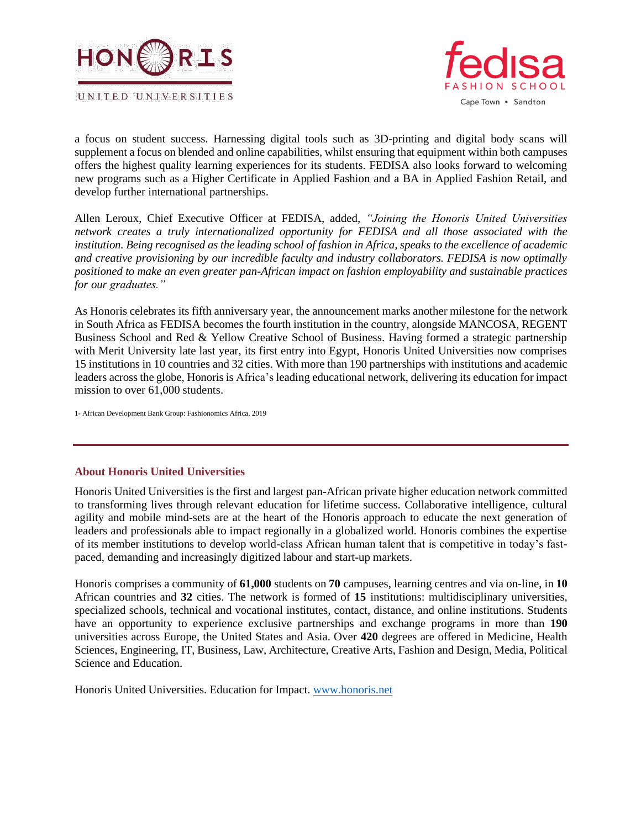



a focus on student success. Harnessing digital tools such as 3D-printing and digital body scans will supplement a focus on blended and online capabilities, whilst ensuring that equipment within both campuses offers the highest quality learning experiences for its students. FEDISA also looks forward to welcoming new programs such as a Higher Certificate in Applied Fashion and a BA in Applied Fashion Retail, and develop further international partnerships.

Allen Leroux, Chief Executive Officer at FEDISA, added, *"Joining the Honoris United Universities network creates a truly internationalized opportunity for FEDISA and all those associated with the* institution. Being recognised as the leading school of fashion in Africa, speaks to the excellence of academic *and creative provisioning by our incredible faculty and industry collaborators. FEDISA is now optimally positioned to make an even greater pan-African impact on fashion employability and sustainable practices for our graduates."*

As Honoris celebrates its fifth anniversary year, the announcement marks another milestone for the network in South Africa as FEDISA becomes the fourth institution in the country, alongside MANCOSA, REGENT Business School and Red & Yellow Creative School of Business. Having formed a strategic partnership with Merit University late last year, its first entry into Egypt, Honoris United Universities now comprises 15 institutions in 10 countries and 32 cities. With more than 190 partnerships with institutions and academic leaders across the globe, Honoris is Africa's leading educational network, delivering its education for impact mission to over 61,000 students.

1- African Development Bank Group: Fashionomics Africa, 2019

## **About Honoris United Universities**

Honoris United Universities is the first and largest pan-African private higher education network committed to transforming lives through relevant education for lifetime success. Collaborative intelligence, cultural agility and mobile mind-sets are at the heart of the Honoris approach to educate the next generation of leaders and professionals able to impact regionally in a globalized world. Honoris combines the expertise of its member institutions to develop world-class African human talent that is competitive in today's fastpaced, demanding and increasingly digitized labour and start-up markets.

Honoris comprises a community of **61,000** students on **70** campuses, learning centres and via on-line, in **10** African countries and **32** cities. The network is formed of **15** institutions: multidisciplinary universities, specialized schools, technical and vocational institutes, contact, distance, and online institutions. Students have an opportunity to experience exclusive partnerships and exchange programs in more than **190** universities across Europe, the United States and Asia. Over **420** degrees are offered in Medicine, Health Sciences, Engineering, IT, Business, Law, Architecture, Creative Arts, Fashion and Design, Media, Political Science and Education.

Honoris United Universities. Education for Impact. [www.honoris.net](http://www.honoris.net/)